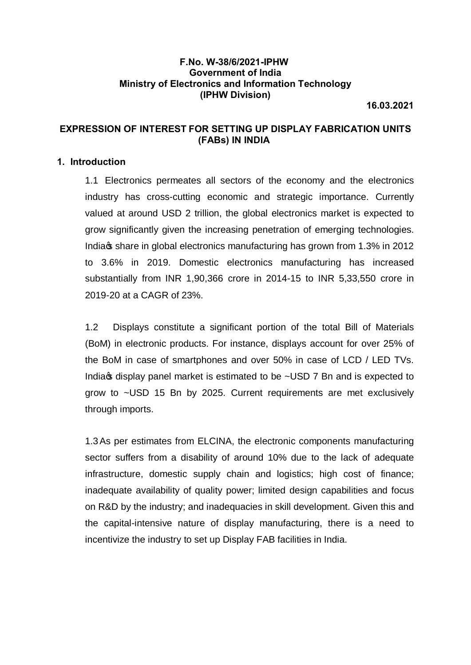#### **F.No. W-38/6/2021-IPHW Government of India Ministry of Electronics and Information Technology (IPHW Division)**

**16.03.2021**

### **EXPRESSION OF INTEREST FOR SETTING UP DISPLAY FABRICATION UNITS (FABs) IN INDIA**

#### **1. Introduction**

1.1 Electronics permeates all sectors of the economy and the electronics industry has cross-cutting economic and strategic importance. Currently valued at around USD 2 trillion, the global electronics market is expected to grow significantly given the increasing penetration of emerging technologies. India<sub>s</sub> share in global electronics manufacturing has grown from 1.3% in 2012 to 3.6% in 2019. Domestic electronics manufacturing has increased substantially from INR 1,90,366 crore in 2014-15 to INR 5,33,550 crore in 2019-20 at a CAGR of 23%.

1.2 Displays constitute a significant portion of the total Bill of Materials (BoM) in electronic products. For instance, displays account for over 25% of the BoM in case of smartphones and over 50% in case of LCD / LED TVs. India<sub>r</sub> display panel market is estimated to be ~USD 7 Bn and is expected to grow to ~USD 15 Bn by 2025. Current requirements are met exclusively through imports.

1.3As per estimates from ELCINA, the electronic components manufacturing sector suffers from a disability of around 10% due to the lack of adequate infrastructure, domestic supply chain and logistics; high cost of finance; inadequate availability of quality power; limited design capabilities and focus on R&D by the industry; and inadequacies in skill development. Given this and the capital-intensive nature of display manufacturing, there is a need to incentivize the industry to set up Display FAB facilities in India.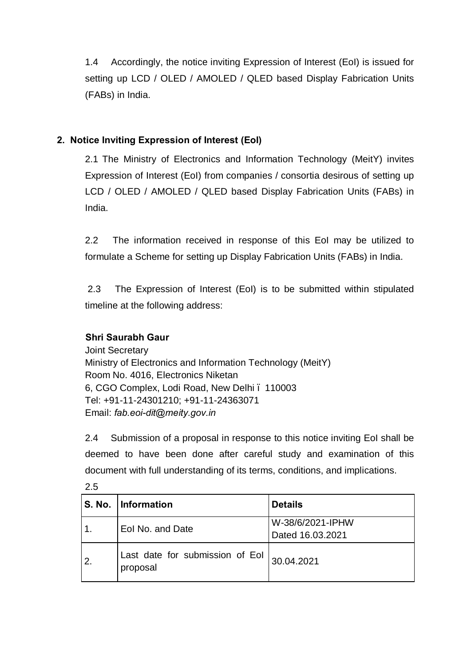1.4 Accordingly, the notice inviting Expression of Interest (EoI) is issued for setting up LCD / OLED / AMOLED / QLED based Display Fabrication Units (FABs) in India.

# **2. Notice Inviting Expression of Interest (EoI)**

2.1 The Ministry of Electronics and Information Technology (MeitY) invites Expression of Interest (EoI) from companies / consortia desirous of setting up LCD / OLED / AMOLED / QLED based Display Fabrication Units (FABs) in India.

2.2 The information received in response of this EoI may be utilized to formulate a Scheme for setting up Display Fabrication Units (FABs) in India.

2.3 The Expression of Interest (EoI) is to be submitted within stipulated timeline at the following address:

# **Shri Saurabh Gaur**

Joint Secretary Ministry of Electronics and Information Technology (MeitY) Room No. 4016, Electronics Niketan 6, CGO Complex, Lodi Road, New Delhi – 110003 Tel: +91-11-24301210; +91-11-24363071 Email: *fab.eoi-dit@meity.gov.in*

2.4 Submission of a proposal in response to this notice inviting EoI shall be deemed to have been done after careful study and examination of this document with full understanding of its terms, conditions, and implications.

|                  | S. No. Information                            | <b>Details</b>                       |
|------------------|-----------------------------------------------|--------------------------------------|
|                  | Eol No. and Date                              | W-38/6/2021-IPHW<br>Dated 16.03.2021 |
| $\overline{2}$ . | Last date for submission of Eol  <br>proposal | 30.04.2021                           |

2.5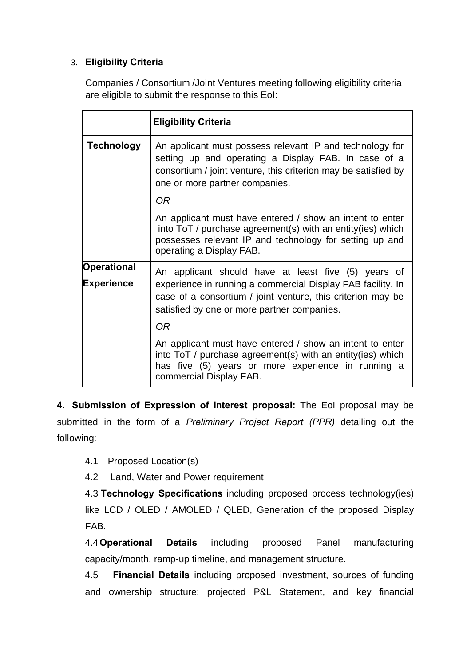## 3. **Eligibility Criteria**

Companies / Consortium /Joint Ventures meeting following eligibility criteria are eligible to submit the response to this EoI:

|                                  | <b>Eligibility Criteria</b>                                                                                                                                                                                                                   |  |
|----------------------------------|-----------------------------------------------------------------------------------------------------------------------------------------------------------------------------------------------------------------------------------------------|--|
| <b>Technology</b>                | An applicant must possess relevant IP and technology for<br>setting up and operating a Display FAB. In case of a<br>consortium / joint venture, this criterion may be satisfied by<br>one or more partner companies.<br><b>OR</b>             |  |
|                                  | An applicant must have entered / show an intent to enter<br>into ToT / purchase agreement(s) with an entity(ies) which<br>possesses relevant IP and technology for setting up and<br>operating a Display FAB.                                 |  |
| <b>Operational</b><br>Experience | An applicant should have at least five (5) years of<br>experience in running a commercial Display FAB facility. In<br>case of a consortium / joint venture, this criterion may be<br>satisfied by one or more partner companies.<br><b>OR</b> |  |
|                                  | An applicant must have entered / show an intent to enter<br>into ToT / purchase agreement(s) with an entity(ies) which<br>has five (5) years or more experience in running a<br>commercial Display FAB.                                       |  |

**4. Submission of Expression of Interest proposal:** The EoI proposal may be submitted in the form of a *Preliminary Project Report (PPR)* detailing out the following:

4.1 Proposed Location(s)

4.2 Land, Water and Power requirement

4.3 **Technology Specifications** including proposed process technology(ies) like LCD / OLED / AMOLED / QLED, Generation of the proposed Display FAB.

4.4**Operational Details** including proposed Panel manufacturing capacity/month, ramp-up timeline, and management structure.

4.5 **Financial Details** including proposed investment, sources of funding and ownership structure; projected P&L Statement, and key financial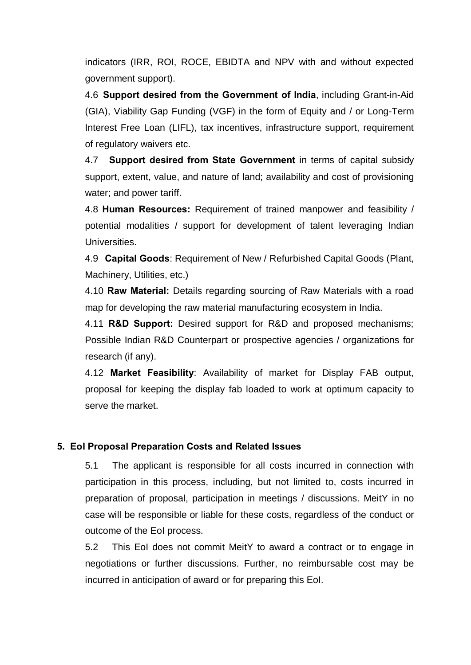indicators (IRR, ROI, ROCE, EBIDTA and NPV with and without expected government support).

4.6 **Support desired from the Government of India**, including Grant-in-Aid (GIA), Viability Gap Funding (VGF) in the form of Equity and / or Long-Term Interest Free Loan (LIFL), tax incentives, infrastructure support, requirement of regulatory waivers etc.

4.7 **Support desired from State Government** in terms of capital subsidy support, extent, value, and nature of land; availability and cost of provisioning water; and power tariff.

4.8 **Human Resources:** Requirement of trained manpower and feasibility / potential modalities / support for development of talent leveraging Indian Universities.

4.9 **Capital Goods**: Requirement of New / Refurbished Capital Goods (Plant, Machinery, Utilities, etc.)

4.10 **Raw Material:** Details regarding sourcing of Raw Materials with a road map for developing the raw material manufacturing ecosystem in India.

4.11 **R&D Support:** Desired support for R&D and proposed mechanisms; Possible Indian R&D Counterpart or prospective agencies / organizations for research (if any).

4.12 **Market Feasibility**: Availability of market for Display FAB output, proposal for keeping the display fab loaded to work at optimum capacity to serve the market.

## **5. EoI Proposal Preparation Costs and Related Issues**

5.1 The applicant is responsible for all costs incurred in connection with participation in this process, including, but not limited to, costs incurred in preparation of proposal, participation in meetings / discussions. MeitY in no case will be responsible or liable for these costs, regardless of the conduct or outcome of the EoI process.

5.2 This EoI does not commit MeitY to award a contract or to engage in negotiations or further discussions. Further, no reimbursable cost may be incurred in anticipation of award or for preparing this EoI.